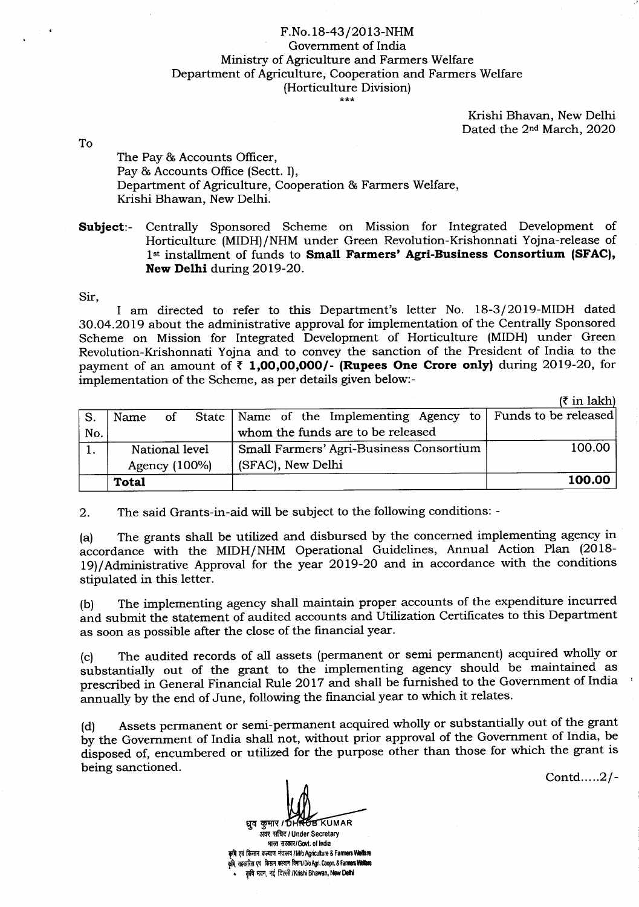## F.No. 18-43/2013-NHM Government of India Ministry of Agriculture and Farmers Welfare Department of Agriculture, Cooperation and Farmers Welfare (Horticulture Division)

Krishi Bhavan, New Delhi Dated the 2<sup>nd</sup> March, 2020

To

The Pay & Accounts Officer, Pay & Accounts Office (Sectt. I), Department of Agriculture, Cooperation & Farmers Welfare, Krishi Bhawan, New Delhi.

Subject:- Centrally Sponsored Scheme on Mission for Integrated Development of Horticulture (MIDH)/NHM under Green Revolution-Krishonnati Yojna-release of 1st installment of funds to Small Farmers' Agri-Business Consortium (SFAC), New Delhi during 2Ol9-2O.

Sir,

I am directed to refer to this Department's letter No. 18-3/2019-MIDH dated 30.04.2019 about the administrative approval for implementation of the Centrally Sponsored Scheme on Mission for Integrated Development of Horticulture (MIDH) under Green Revolution-Krishonnati Yojna and to convey the sanction of the President of India to the payment of an amount of  $\bar{\tau}$  1,00,00,000/- (Rupees One Crore only) during 2019-20, for implementation of the Scheme, as per details given below:-

 $(7 \text{ in } \text{lakh})$ 

| S.  | Name             | of | State   Name of the Implementing Agency to   Funds to be released |        |
|-----|------------------|----|-------------------------------------------------------------------|--------|
| No. |                  |    | whom the funds are to be released                                 |        |
|     | National level   |    | Small Farmers' Agri-Business Consortium                           | 100.00 |
|     | Agency $(100\%)$ |    | (SFAC), New Delhi                                                 |        |
|     | Total            |    |                                                                   | 100.00 |

2. The said Grants-in-aid will be subject to the following conditions: -

(a) The grants shall be utilized and disbursed by the concerned implementing agency in accordance with the MIDH/NHM Operational Guidelines, Annual Action Plan (2018- 19)/Administrative Approval for the year 2019-20 and in accordance with the conditions stipulated in this letter.

(b) The implementing agency shall maintain proper accounts of the expenditure incurred and submit the statement of audited accounts and Utilization Certificates to this Department as soon as possible after the close of the financial year.

(c) The audited records of all assets (permanent or semi permanent) acquired wholly or substantially out of the grant to the implementing agency should be maintained as prescribed in General Financial Rule 2017 and shall be furnished to the Government of India annually by the end of June, following the financial year to which it relates.

(d) Assets permanent or semi-peffnanent acquired wholly or substantially out of the grant by the Government of India shall not, without prior approval of the Government of India, be disposed of, encumbered or utilized for the purpose other than those for which the grant is being sanctioned.

Contd.....2/-

ध्रुव कुमार / DHROB KUMAR

अवर सचिद / Under Secretary भारत सरकार/Govt. of India कृषि एवं किसान कल्याण मंत्रालय / M/o Agriculture & Farmers Welfare .<br>कृषि सहकारिता एवं किसान कल्याण विमाग/D/o Agri. Coopn. & Farmers Welliare कृषि भवन, नई दिल्ली /Krishi Bhawan, New Delhi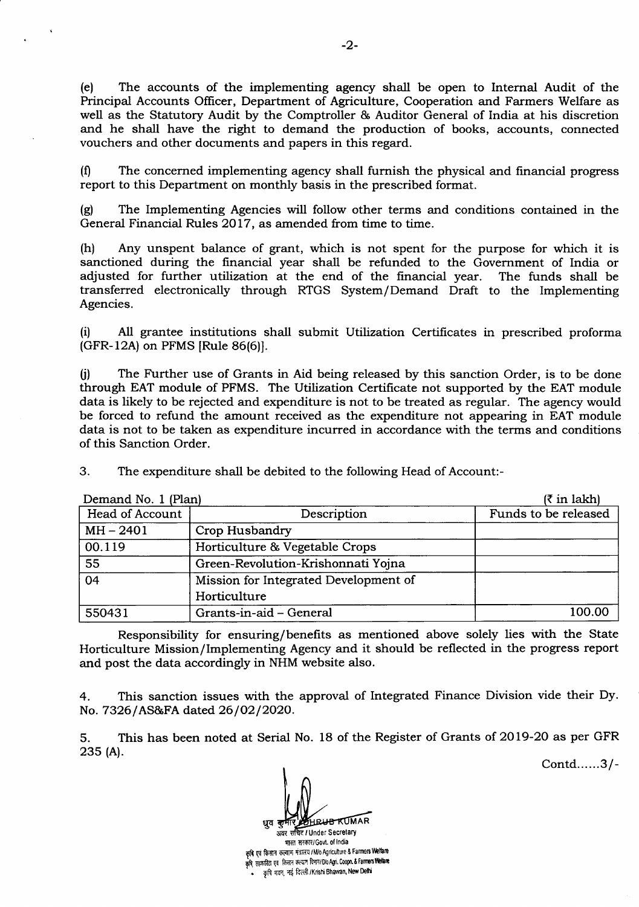(e) The accounts of the implementing agency shall be open to Internal Audit of the Principal Accounts Oflicer, Department of Agriculture, Cooperation and Farmers Welfare as well as the Statutory Audit by the Comptroller & Auditor General of India at his discretion and he shall have the right to demand the production of books, accounts, connected vouchers and other documents and papers in this regard.

(0 The concerned implementing agency shall furnish the physical and frnancial progress report to this Department on monthly basis in the prescribed format.

(g) The Implementing Agencies will follow other terms and conditions contained in the General Financial Rules 2Ol7 , as amended from time to time.

(h) Any unspent balance of grant, which is not spent for the purpose for which it is sanctioned during the financial year shall be refunded to the Government of India or adjusted for further utilization at the end of the frnancial year. The funds shall be transferred electronically through RTGS System/Demand Draft to the Implementing Agencies.

(il Al1 grantee institutions shall submit Utilization Certificates in prescribed proforma (GFR-12A) on PFMS [Rule 86(6)].

0) The Further use of Grants in Aid being released by this sanction Order, is to be done through EAT module of PFMS. The Utilization Certifrcate not supported by the EAT module data is likely to be rejected and expenditure is not to be treated as regular. The agency would be forced to refund the amount received as the expenditure not appearing in EAT module data is not to be taken as expenditure incurred in accordance with the terms and conditions of this Sanction Order.

3. The expenditure shall be debited to the following Head of Account:-

| Demand No. 1 (Plan) | $(3 \in \mathbb{R}^2)$                |                      |
|---------------------|---------------------------------------|----------------------|
| Head of Account     | Description                           | Funds to be released |
| $MH - 2401$         | Crop Husbandry                        |                      |
| 00.119              | Horticulture & Vegetable Crops        |                      |
| 55                  | Green-Revolution-Krishonnati Yojna    |                      |
| 04                  | Mission for Integrated Development of |                      |
|                     | Horticulture                          |                      |
| 550431              | Grants-in-aid - General               | 100.00               |

Responsibility for ensuring/benefits as mentioned above solely lies with the State Horticulture Mission/Implementing Agency and it should be reflected in the progress report and post the data accordingly in NHM website also.

4. This sanction issues with the approval of Integrated Finance Division vide their Dy No. 7326/AS&FA dated 26/02/2020.

5. This has been noted at Serial No. 18 of the Register of Grants of 2019-20 as per GFR 23s (A).

Contd......3l-

**RUR KUMAR** अवर सचित / Under Secretary धुव भारत सरकार/Govt. of India कृषि एवं किसान कल्याण मंत्रालय / M/o Agriculture & Farmers Welfare

कृषि, सहकारिता एवं किसान कल्याण विमाग/D/o Agri. Coopn. & Farmers Welfare  $\frac{1}{2}$  कृषि मवन, नई दिल्ली /Krishi Bhawan, New Delhi